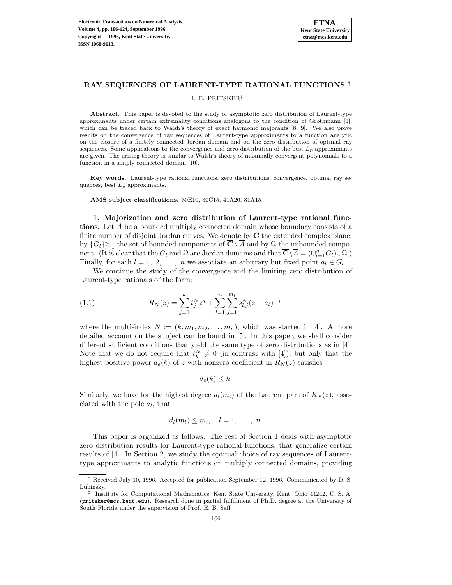

## **RAY SEQUENCES OF LAURENT-TYPE RATIONAL FUNCTIONS** †

### I. E. PRITSKER‡

**Abstract.** This paper is devoted to the study of asymptotic zero distribution of Laurent-type approximants under certain extremality conditions analogous to the condition of Grothmann [1], which can be traced back to Walsh's theory of exact harmonic majorants [8, 9]. We also prove results on the convergence of ray sequences of Laurent-type approximants to a function analytic on the closure of a finitely connected Jordan domain and on the zero distribution of optimal ray sequences. Some applications to the convergence and zero distribution of the best  $L_p$  approximants are given. The arising theory is similar to Walsh's theory of maximally convergent polynomials to a function in a simply connected domain [10].

**Key words.** Laurent-type rational functions, zero distributions, convergence, optimal ray sequences, best  $L_p$  approximants.

**AMS subject classifications.** 30E10, 30C15, 41A20, 31A15.

**1. Majorization and zero distribution of Laurent-type rational functions.** Let A be a bounded multiply connected domain whose boundary consists of a finite number of disjoint Jordan curves. We denote by  $\overline{C}$  the extended complex plane, by  $\{G_l\}_{l=1}^n$  the set of bounded components of  $\overline{C} \setminus \overline{A}$  and by  $\Omega$  the unbounded component. (It is clear that the  $G_l$  and  $\Omega$  are Jordan domains and that  $\overline{\mathbf{C}}\setminus\overline{A} = (\cup_{l=1}^n G_l)\cup\Omega$ .) Finally, for each  $l = 1, 2, \ldots, n$  we associate an arbitrary but fixed point  $a_l \in G_l$ .

We continue the study of the convergence and the limiting zero distribution of Laurent-type rationals of the form:

(1.1) 
$$
R_N(z) = \sum_{j=0}^k t_j^N z^j + \sum_{l=1}^n \sum_{j=1}^{m_l} s_{l,j}^N (z - a_l)^{-j},
$$

where the multi-index  $N := (k, m_1, m_2, \ldots, m_n)$ , which was started in [4]. A more detailed account on the subject can be found in [5]. In this paper, we shall consider different sufficient conditions that yield the same type of zero distributions as in [4]. Note that we do not require that  $t_k^N \neq 0$  (in contrast with [4]), but only that the highest positive power  $d_e(k)$  of z with nonzero coefficient in  $R_N(z)$  satisfies

$$
d_e(k) \leq k.
$$

Similarly, we have for the highest degree  $d_l(m_l)$  of the Laurent part of  $R_N(z)$ , associated with the pole  $a_l$ , that

$$
d_l(m_l) \leq m_l, \quad l=1, \ldots, n.
$$

This paper is organized as follows. The rest of Section 1 deals with asymptotic zero distribution results for Laurent-type rational functions, that generalize certain results of [4]. In Section 2, we study the optimal choice of ray sequences of Laurenttype approximants to analytic functions on multiply connected domains, providing

<sup>†</sup> Received July 10, 1996. Accepted for publication September 12, 1996. Communicated by D. S. Lubinsky.

<sup>‡</sup> Institute for Computational Mathematics, Kent State University, Kent, Ohio 44242, U. S. A. (pritsker@mcs.kent.edu). Research done in partial fulfillment of Ph.D. degree at the University of South Florida under the supervision of Prof. E. B. Saff.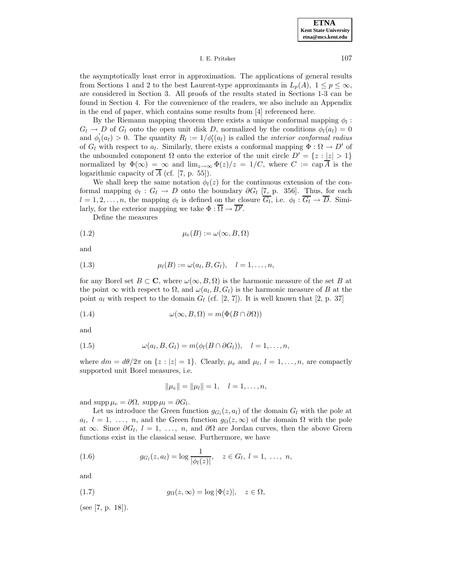## I. E. Pritsker 107

the asymptotically least error in approximation. The applications of general results from Sections 1 and 2 to the best Laurent-type approximants in  $L_p(A)$ ,  $1 \leq p \leq \infty$ , are considered in Section 3. All proofs of the results stated in Sections 1-3 can be found in Section 4. For the convenience of the readers, we also include an Appendix in the end of paper, which contains some results from [4] referenced here.

By the Riemann mapping theorem there exists a unique conformal mapping  $\phi_l$ :  $G_l \rightarrow D$  of  $G_l$  onto the open unit disk D, normalized by the conditions  $\phi_l(a_l)=0$ and  $\phi'_{l}(a_{l}) > 0$ . The quantity  $R_{l} := 1/\phi'_{l}(a_{l})$  is called the *interior conformal radius* of  $G_l$  with respect to  $a_l$ . Similarly, there exists a conformal mapping  $\Phi : \Omega \to D'$  of the unbounded component  $\Omega$  onto the exterior of the unit circle  $D' = \{z : |z| > 1\}$ normalized by  $\Phi(\infty) = \infty$  and  $\lim_{z\to\infty} \Phi(z)/z = 1/C$ , where  $C := \text{cap }\overline{A}$  is the logarithmic capacity of  $\overline{A}$  (cf. [7, p. 55]).

We shall keep the same notation  $\phi_l(z)$  for the continuous extension of the conformal mapping  $\phi_l : G_l \to D$  onto the boundary  $\partial G_l$  [7, p. 356]. Thus, for each  $l = 1, 2, \ldots, n$ , the mapping  $\phi_l$  is defined on the closure  $\overline{G_l}$ , i.e.  $\phi_l : \overline{G_l} \to \overline{D}$ . Similarly, for the exterior mapping we take  $\Phi : \Omega \to D'$ .

Define the measures

$$
(1.2) \qquad \qquad \mu_e(B) := \omega(\infty, B, \Omega)
$$

and

(1.3) 
$$
\mu_l(B) := \omega(a_l, B, G_l), \quad l = 1, ..., n,
$$

for any Borel set  $B \subset \mathbf{C}$ , where  $\omega(\infty, B, \Omega)$  is the harmonic measure of the set B at the point  $\infty$  with respect to  $\Omega$ , and  $\omega(a_l, B, G_l)$  is the harmonic measure of B at the point  $a_l$  with respect to the domain  $G_l$  (cf. [2, 7]). It is well known that [2, p. 37]

(1.4) 
$$
\omega(\infty, B, \Omega) = m(\Phi(B \cap \partial \Omega))
$$

and

(1.5) 
$$
\omega(a_l, B, G_l) = m(\phi_l(B \cap \partial G_l)), \quad l = 1, \ldots, n,
$$

where  $dm = d\theta/2\pi$  on  $\{z : |z| = 1\}$ . Clearly,  $\mu_e$  and  $\mu_l$ ,  $l = 1, \ldots, n$ , are compactly supported unit Borel measures, i.e.

$$
\|\mu_e\| = \|\mu_l\| = 1, \quad l = 1, \dots, n,
$$

and supp  $\mu_e = \partial \Omega$ , supp  $\mu_l = \partial G_l$ .

Let us introduce the Green function  $g_{G_i}(z,a_i)$  of the domain  $G_i$  with the pole at  $a_l, l = 1, \ldots, n$ , and the Green function  $g_{\Omega}(z,\infty)$  of the domain  $\Omega$  with the pole at  $\infty$ . Since  $\partial G_l$ ,  $l = 1, \ldots, n$ , and  $\partial \Omega$  are Jordan curves, then the above Green functions exist in the classical sense. Furthermore, we have

(1.6) 
$$
g_{G_l}(z, a_l) = \log \frac{1}{|\phi_l(z)|}, \quad z \in G_l, l = 1, \ldots, n,
$$

and

(1.7) 
$$
g_{\Omega}(z,\infty) = \log |\Phi(z)|, \quad z \in \Omega,
$$

(see [7, p. 18]).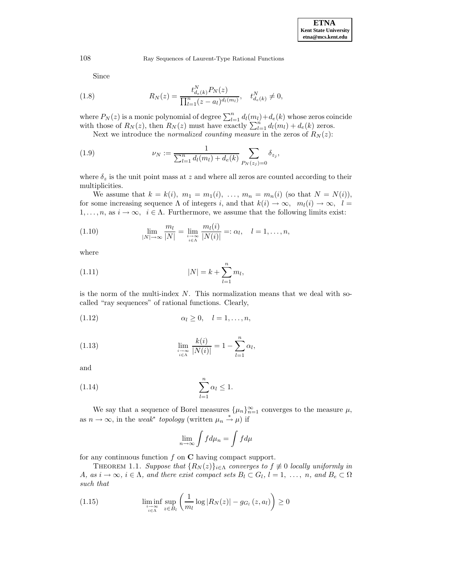Since

(1.8) 
$$
R_N(z) = \frac{t_{d_e(k)}^N P_N(z)}{\prod_{l=1}^n (z - a_l)^{d_l(m_l)}}, \quad t_{d_e(k)}^N \neq 0,
$$

where  $P_N(z)$  is a monic polynomial of degree  $\sum_{l=1}^n d_l(m_l)+d_e(k)$  whose zeros coincide with those of  $R_N(z)$ , then  $R_N(z)$  must have exactly  $\sum_{l=1}^n d_l(m_l) + d_e(k)$  zeros.

Next we introduce the *normalized counting measure* in the zeros of  $R_N(z)$ :

(1.9) 
$$
\nu_N := \frac{1}{\sum_{l=1}^n d_l(m_l) + d_e(k)} \sum_{P_N(z_j) = 0} \delta_{z_j},
$$

where  $\delta_z$  is the unit point mass at z and where all zeros are counted according to their multiplicities.

We assume that  $k = k(i)$ ,  $m_1 = m_1(i)$ , ...,  $m_n = m_n(i)$  (so that  $N = N(i)$ ), for some increasing sequence Λ of integers i, and that  $k(i) \to \infty$ ,  $m_l(i) \to \infty$ ,  $l =$  $1,\ldots,n$ , as  $i \to \infty$ ,  $i \in \Lambda$ . Furthermore, we assume that the following limits exist:

(1.10) 
$$
\lim_{|N| \to \infty} \frac{m_l}{|N|} = \lim_{\substack{i \to \infty \\ i \in \Lambda}} \frac{m_l(i)}{|N(i)|} =: \alpha_l, \quad l = 1, \dots, n,
$$

where

(1.11) 
$$
|N| = k + \sum_{l=1}^{n} m_l,
$$

is the norm of the multi-index  $N$ . This normalization means that we deal with socalled "ray sequences" of rational functions. Clearly,

$$
(1.12) \qquad \alpha_l \geq 0, \quad l = 1, \ldots, n,
$$

(1.13) 
$$
\lim_{\substack{i \to \infty \\ i \in \Lambda}} \frac{k(i)}{|N(i)|} = 1 - \sum_{l=1}^{n} \alpha_l,
$$

and

$$
(1.14) \qquad \qquad \sum_{l=1}^{n} \alpha_l \leq 1.
$$

We say that a sequence of Borel measures  $\{\mu_n\}_{n=1}^{\infty}$  converges to the measure  $\mu$ , as  $n \to \infty$ , in the *weak<sup>\*</sup>* topology (written  $\mu_n \stackrel{*}{\to} \mu$ ) if

$$
\lim_{n \to \infty} \int f d\mu_n = \int f d\mu
$$

for any continuous function f on **C** having compact support.

THEOREM 1.1. Suppose that  $\{R_N(z)\}_{i\in\Lambda}$  converges to  $f \not\equiv 0$  locally uniformly in A, as  $i \to \infty$ ,  $i \in \Lambda$ , and there exist compact sets  $B_l \subset G_l$ ,  $l = 1, \ldots, n$ , and  $B_e \subset \Omega$ such that

(1.15) 
$$
\liminf_{\substack{i \to \infty \\ i \in \Lambda}} \sup_{z \in B_l} \left( \frac{1}{m_l} \log |R_N(z)| - g_{G_l}(z, a_l) \right) \ge 0
$$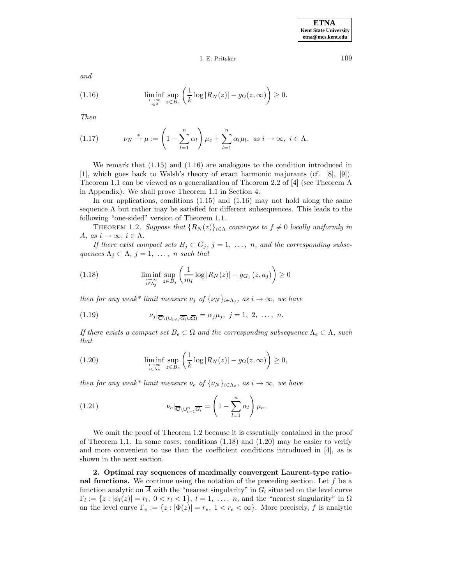I. E. Pritsker 109

and

(1.16) 
$$
\liminf_{\substack{i \to \infty \\ i \in \Lambda}} \sup_{z \in B_e} \left( \frac{1}{k} \log |R_N(z)| - g_\Omega(z, \infty) \right) \ge 0.
$$

Then

(1.17) 
$$
\nu_N \stackrel{*}{\rightarrow} \mu := \left(1 - \sum_{l=1}^n \alpha_l\right) \mu_e + \sum_{l=1}^n \alpha_l \mu_l, \text{ as } i \to \infty, \text{ } i \in \Lambda.
$$

We remark that  $(1.15)$  and  $(1.16)$  are analogous to the condition introduced in [1], which goes back to Walsh's theory of exact harmonic majorants (cf. [8], [9]). Theorem 1.1 can be viewed as a generalization of Theorem 2.2 of [4] (see Theorem A in Appendix). We shall prove Theorem 1.1 in Section 4.

In our applications, conditions  $(1.15)$  and  $(1.16)$  may not hold along the same sequence  $\Lambda$  but rather may be satisfied for different subsequences. This leads to the following "one-sided" version of Theorem 1.1.

THEOREM 1.2. Suppose that  ${R_N(z)}_{i \in \Lambda}$  converges to  $f \neq 0$  locally uniformly in A, as  $i \to \infty$ ,  $i \in \Lambda$ .

If there exist compact sets  $B_j \subset G_j$ ,  $j = 1, \ldots, n$ , and the corresponding subsequences  $\Lambda_j \subset \Lambda$ ,  $j = 1, \ldots, n$  such that

(1.18) 
$$
\liminf_{\substack{i \to \infty \\ i \in \Lambda_j}} \sup_{z \in B_j} \left( \frac{1}{m_l} \log |R_N(z)| - g_{G_j}(z, a_j) \right) \ge 0
$$

then for any weak\* limit measure  $\nu_j$  of  $\{\nu_N\}_{i\in\Lambda_j}$ , as  $i\to\infty$ , we have

(1.19) 
$$
\nu_j|_{\overline{\mathbf{C}}\setminus(\cup_{l\neq j}\overline{G_l}\cup\overline{\Omega})}=\alpha_j\mu_j, \ j=1, 2, \ \ldots, \ n.
$$

If there exists a compact set  $B_e \subset \Omega$  and the corresponding subsequence  $\Lambda_e \subset \Lambda$ , such that

(1.20) 
$$
\liminf_{\substack{i \to \infty \\ i \in \Lambda_e}} \sup_{z \in B_e} \left( \frac{1}{k} \log |R_N(z)| - g_\Omega(z, \infty) \right) \ge 0,
$$

then for any weak\* limit measure  $\nu_e$  of  $\{\nu_N\}_{i \in \Lambda_e}$ , as  $i \to \infty$ , we have

(1.21) 
$$
\nu_e|_{\overline{\mathbf{C}}\setminus\cup_{l=1}^n \overline{G_l}} = \left(1 - \sum_{l=1}^n \alpha_l\right)\mu_e.
$$

We omit the proof of Theorem 1.2 because it is essentially contained in the proof of Theorem 1.1. In some cases, conditions (1.18) and (1.20) may be easier to verify and more convenient to use than the coefficient conditions introduced in [4], as is shown in the next section.

**2. Optimal ray sequences of maximally convergent Laurent-type rational functions.** We continue using the notation of the preceding section. Let  $f$  be a function analytic on  $\overline{A}$  with the "nearest singularity" in  $G_l$  situated on the level curve  $\Gamma_l := \{z : |\phi_l(z)| = r_l, 0 < r_l < 1\}, l = 1, \ldots, n$ , and the "nearest singularity" in  $\Omega$ on the level curve  $\Gamma_e := \{z : |\Phi(z)| = r_e, 1 < r_e < \infty\}$ . More precisely, f is analytic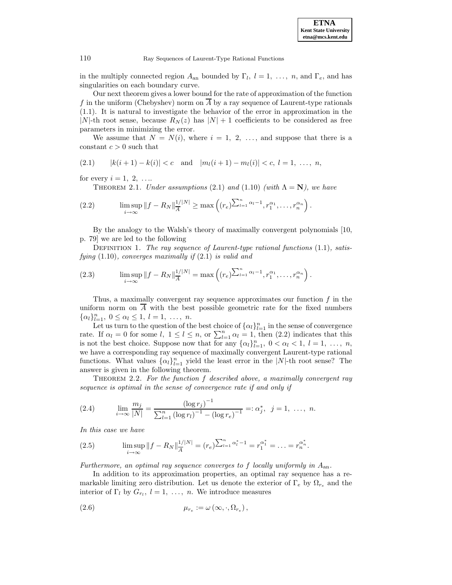in the multiply connected region  $A_{an}$  bounded by  $\Gamma_l$ ,  $l = 1, \ldots, n$ , and  $\Gamma_e$ , and has singularities on each boundary curve.

Our next theorem gives a lower bound for the rate of approximation of the function f in the uniform (Chebyshev) norm on A by a ray sequence of Laurent-type rationals (1.1). It is natural to investigate the behavior of the error in approximation in the |N|-th root sense, because  $R_N(z)$  has  $|N|+1$  coefficients to be considered as free parameters in minimizing the error.

We assume that  $N = N(i)$ , where  $i = 1, 2, \ldots$ , and suppose that there is a constant  $c > 0$  such that

$$
(2.1) \qquad |k(i+1)-k(i)| < c \quad \text{and} \quad |m_l(i+1)-m_l(i)| < c, \ l = 1, \ \ldots, \ n,
$$

for every  $i = 1, 2, \ldots$ 

THEOREM 2.1. Under assumptions (2.1) and (1.10) (with  $\Lambda = N$ ), we have

(2.2) 
$$
\limsup_{i\to\infty}||f - R_N||_A^{\frac{1}{|A|}} \ge \max\left((r_e)^{\sum_{l=1}^n \alpha_l - 1}, r_1^{\alpha_1}, \dots, r_n^{\alpha_n}\right).
$$

By the analogy to the Walsh's theory of maximally convergent polynomials [10, p. 79] we are led to the following

DEFINITION 1. The ray sequence of Laurent-type rational functions  $(1.1)$ , satisfying  $(1.10)$ , converges maximally if  $(2.1)$  is valid and

(2.3) 
$$
\limsup_{i \to \infty} ||f - R_N||_A^{\frac{1}{|A|}} = \max \left( (r_e)^{\sum_{l=1}^n \alpha_l - 1}, r_1^{\alpha_1}, \dots, r_n^{\alpha_n} \right).
$$

Thus, a maximally convergent ray sequence approximates our function  $f$  in the uniform norm on  $\overline{A}$  with the best possible geometric rate for the fixed numbers  $\{\alpha_l\}_{l=1}^n, 0 \leq \alpha_l \leq 1, l = 1, \ldots, n.$ 

Let us turn to the question of the best choice of  $\{\alpha_l\}_{l=1}^n$  in the sense of convergence rate. If  $\alpha_l = 0$  for some  $l, 1 \leq l \leq n$ , or  $\sum_{l=1}^n \alpha_l = 1$ , then  $(2.2)$  indicates that this is not the best choice. Suppose now that for any  $\{\alpha_l\}_{l=1}^n$ ,  $0 < \alpha_l < 1$ ,  $l = 1, \ldots, n$ , we have a corresponding ray sequence of maximally convergent Laurent-type rational functions. What values  $\{\alpha_l\}_{l=1}^n$  yield the least error in the  $|N|$ -th root sense? The answer is given in the following theorem.

THEOREM 2.2. For the function  $f$  described above, a maximally convergent ray sequence is optimal in the sense of convergence rate if and only if

(2.4) 
$$
\lim_{i \to \infty} \frac{m_j}{|N|} = \frac{(\log r_j)^{-1}}{\sum_{l=1}^n (\log r_l)^{-1} - (\log r_e)^{-1}} =: \alpha_j^*, \ \ j = 1, \ \ldots, \ n.
$$

In this case we have

(2.5) 
$$
\limsup_{i \to \infty} ||f - R_N||_A^{\frac{1}{|N|}} = (r_e)^{\sum_{l=1}^n \alpha_l^* - 1} = r_1^{\alpha_1^*} = \ldots = r_n^{\alpha_n^*}.
$$

Furthermore, an optimal ray sequence converges to f locally uniformly in  $A_{an}$ .

In addition to its approximation properties, an optimal ray sequence has a remarkable limiting zero distribution. Let us denote the exterior of  $\Gamma_e$  by  $\Omega_{r_e}$  and the interior of  $\Gamma_l$  by  $G_{r_l}$ ,  $l = 1, \ldots, n$ . We introduce measures

$$
\mu_{r_e} := \omega\left(\infty, \cdot, \Omega_{r_e}\right),\,
$$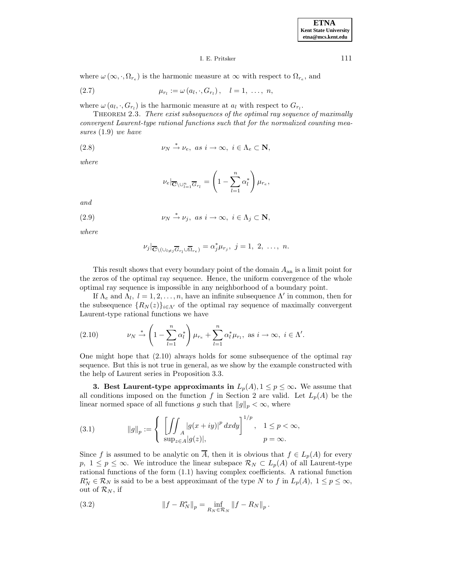#### I. E. Pritsker 111

where  $\omega(\infty, \cdot, \Omega_{r_e})$  is the harmonic measure at  $\infty$  with respect to  $\Omega_{r_e}$ , and

(2.7) 
$$
\mu_{r_l} := \omega(a_l, \cdot, G_{r_l}), \quad l = 1, \ldots, n,
$$

where  $\omega(a_l, \cdot, G_{r_l})$  is the harmonic measure at  $a_l$  with respect to  $G_{r_l}$ .

Theorem 2.3. There exist subsequences of the optimal ray sequence of maximally convergent Laurent-type rational functions such that for the normalized counting measures (1.9) we have

(2.8) 
$$
\nu_N \stackrel{*}{\to} \nu_e, \text{ as } i \to \infty, \text{ } i \in \Lambda_e \subset \mathbf{N},
$$

where

$$
\nu_e|_{\overline{\mathbf{C}}\setminus\cup_{l=1}^n \overline{G}_{r_l}} = \left(1 - \sum_{l=1}^n \alpha_l^*\right) \mu_{r_e},
$$

and

(2.9) 
$$
\nu_N \stackrel{*}{\to} \nu_j, \text{ as } i \to \infty, \text{ } i \in \Lambda_j \subset \mathbf{N},
$$

where

$$
\nu_j|_{\overline{\mathbf{C}}\setminus(\cup_{l\neq j}\overline{G}_{r_l}\cup\overline{\Omega}_{r_e})}=\alpha_j^*\mu_{r_j},\,\,j=1,\,\,2,\,\,\ldots,\,\,n.
$$

This result shows that every boundary point of the domain  $A_{an}$  is a limit point for the zeros of the optimal ray sequence. Hence, the uniform convergence of the whole optimal ray sequence is impossible in any neighborhood of a boundary point.

If  $\Lambda_e$  and  $\Lambda_l$ ,  $l = 1, 2, \ldots, n$ , have an infinite subsequence  $\Lambda'$  in common, then for the subsequence  ${R_N(z)}_{i \in \Delta}$  of the optimal ray sequence of maximally convergent Laurent-type rational functions we have

(2.10) 
$$
\nu_N \stackrel{*}{\rightarrow} \left(1 - \sum_{l=1}^n \alpha_l^*\right) \mu_{r_e} + \sum_{l=1}^n \alpha_l^* \mu_{r_l}, \text{ as } i \to \infty, i \in \Lambda'.
$$

One might hope that (2.10) always holds for some subsequence of the optimal ray sequence. But this is not true in general, as we show by the example constructed with the help of Laurent series in Proposition 3.3.

**3. Best Laurent-type approximants in**  $L_p(A)$ ,  $1 \leq p \leq \infty$ . We assume that all conditions imposed on the function f in Section 2 are valid. Let  $L_p(A)$  be the linear normed space of all functions g such that  $||g||_p < \infty$ , where

(3.1) 
$$
\|g\|_{p} := \begin{cases} \left[\iint_{A} |g(x+iy)|^p dx dy\right]^{1/p}, & 1 \le p < \infty, \\ \sup_{z \in A} |g(z)|, & p = \infty. \end{cases}
$$

Since f is assumed to be analytic on  $\overline{A}$ , then it is obvious that  $f \in L_p(A)$  for every p,  $1 \le p \le \infty$ . We introduce the linear subspace  $\mathcal{R}_N \subset L_p(A)$  of all Laurent-type rational functions of the form (1.1) having complex coefficients. A rational function  $R_N^* \in \mathcal{R}_N$  is said to be a best approximant of the type N to f in  $L_p(A)$ ,  $1 \le p \le \infty$ , out of  $\mathcal{R}_N$ , if

(3.2) 
$$
||f - R_N^*||_p = \inf_{R_N \in \mathcal{R}_N} ||f - R_N||_p.
$$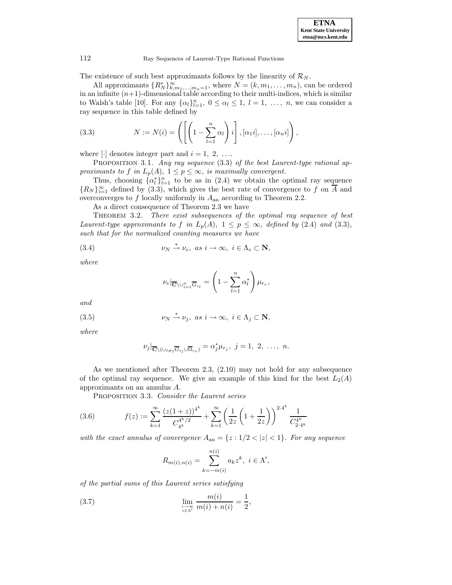The existence of such best approximants follows by the linearity of  $\mathcal{R}_N$ .

All approximants  $\{R_N^*\}_{k,m_1,\dots,m_n=1}^{\infty}$ , where  $N = (k, m_1, \dots, m_n)$ , can be ordered in an infinite  $(n+1)$ -dimensional table according to their multi-indices, which is similar to Walsh's table [10]. For any  $\{\alpha_l\}_{l=1}^n$ ,  $0 \leq \alpha_l \leq 1$ ,  $l = 1, \ldots, n$ , we can consider a ray sequence in this table defined by

(3.3) 
$$
N := N(i) = \left( \left[ \left( 1 - \sum_{l=1}^{n} \alpha_{l} \right) i \right], [\alpha_{1} i], \dots, [\alpha_{n} i] \right),
$$

where  $\lbrack \cdot \rbrack$  denotes integer part and  $i = 1, 2, \ldots$ 

PROPOSITION 3.1. Any ray sequence (3.3) of the best Laurent-type rational approximants to f in  $L_p(A)$ ,  $1 \leq p \leq \infty$ , is maximally convergent.

Thus, choosing  $\{\alpha_l^*\}_{l=1}^n$  to be as in (2.4) we obtain the optimal ray sequence  ${R_N}_{i=1}^{\infty}$  defined by (3.3), which gives the best rate of convergence to f on A and overconverges to  $f$  locally uniformly in  $A_{an}$  according to Theorem 2.2.

As a direct consequence of Theorem 2.3 we have

Theorem 3.2. There exist subsequences of the optimal ray sequence of best Laurent-type approximants to f in  $L_p(A)$ ,  $1 \le p \le \infty$ , defined by (2.4) and (3.3), such that for the normalized counting measures we have

(3.4) 
$$
\nu_N \stackrel{*}{\to} \nu_e, \text{ as } i \to \infty, \text{ } i \in \Lambda_e \subset \mathbf{N},
$$

where

$$
\nu_e|_{\overline{\mathbf{C}}\setminus\cup_{l=1}^n \overline{G}_{r_l}} = \left(1 - \sum_{l=1}^n \alpha_l^*\right) \mu_{r_e},
$$

and

(3.5) 
$$
\nu_N \stackrel{*}{\to} \nu_j, \text{ as } i \to \infty, \text{ } i \in \Lambda_j \subset \mathbf{N},
$$

where

$$
\nu_j|_{\overline{\mathbf{C}}\setminus(\cup_{l\neq j}\overline{G}_{r_l}\cup\overline{\Omega}_{r_e})}=\alpha_j^*\mu_{r_j},\ j=1,\ 2,\ \ldots,\ n.
$$

As we mentioned after Theorem 2.3, (2.10) may not hold for any subsequence of the optimal ray sequence. We give an example of this kind for the best  $L_2(A)$ approximants on an annulus A.

PROPOSITION 3.3. Consider the Laurent series

(3.6) 
$$
f(z) := \sum_{k=1}^{\infty} \frac{(z(1+z))^{4^k}}{C_{4^k}^{4^k/2}} + \sum_{k=1}^{\infty} \left(\frac{1}{2z} \left(1 + \frac{1}{2z}\right)\right)^{2 \cdot 4^k} \frac{1}{C_{2 \cdot 4^k}^{4^k}}
$$

with the exact annulus of convergence  $A_{an} = \{z : 1/2 < |z| < 1\}$ . For any sequence

$$
R_{m(i),n(i)} = \sum_{k=-m(i)}^{n(i)} a_k z^k, \ i \in \Lambda',
$$

of the partial sums of this Laurent series satisfying

(3.7) 
$$
\lim_{\substack{i \to \infty \\ i \in \Lambda'}} \frac{m(i)}{m(i) + n(i)} = \frac{1}{2},
$$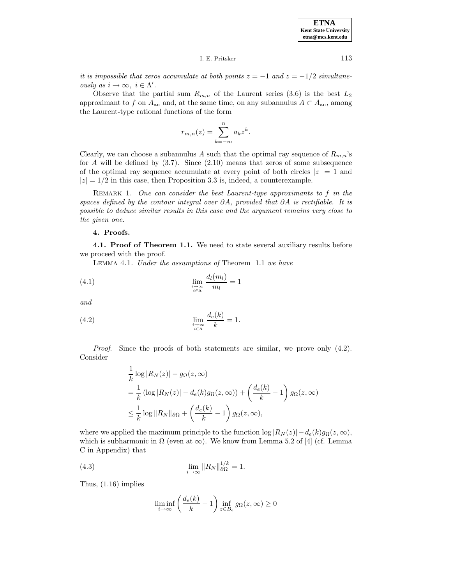I. E. Pritsker 113

it is impossible that zeros accumulate at both points  $z = -1$  and  $z = -1/2$  simultaneously as  $i \to \infty$ ,  $i \in \Lambda'$ .

Observe that the partial sum  $R_{m,n}$  of the Laurent series (3.6) is the best  $L_2$ approximant to f on  $A_{an}$  and, at the same time, on any subannulus  $A \subset A_{an}$ , among the Laurent-type rational functions of the form

$$
r_{m,n}(z) = \sum_{k=-m}^{n} a_k z^k.
$$

Clearly, we can choose a subannulus A such that the optimal ray sequence of  $R_{m,n}$ 's for  $A$  will be defined by  $(3.7)$ . Since  $(2.10)$  means that zeros of some subsequence of the optimal ray sequence accumulate at every point of both circles  $|z| = 1$  and  $|z| = 1/2$  in this case, then Proposition 3.3 is, indeed, a counterexample.

REMARK 1. One can consider the best Laurent-type approximants to  $f$  in the spaces defined by the contour integral over  $\partial A$ , provided that  $\partial A$  is rectifiable. It is possible to deduce similar results in this case and the argument remains very close to the given one.

## **4. Proofs.**

**4.1. Proof of Theorem 1.1.** We need to state several auxiliary results before we proceed with the proof.

Lemma 4.1. Under the assumptions of Theorem 1.1 we have

$$
\lim_{\substack{l \to \infty \\ i \in \Lambda}} \frac{d_l(m_l)}{m_l} = 1
$$

and

(4.2) 
$$
\lim_{\substack{i \to \infty \\ i \in \Lambda}} \frac{d_e(k)}{k} = 1.
$$

Proof. Since the proofs of both statements are similar, we prove only  $(4.2)$ . Consider

$$
\frac{1}{k}\log|R_N(z)| - g_{\Omega}(z, \infty)
$$
\n
$$
= \frac{1}{k}\left(\log|R_N(z)| - d_e(k)g_{\Omega}(z, \infty)\right) + \left(\frac{d_e(k)}{k} - 1\right)g_{\Omega}(z, \infty)
$$
\n
$$
\leq \frac{1}{k}\log||R_N||_{\partial\Omega} + \left(\frac{d_e(k)}{k} - 1\right)g_{\Omega}(z, \infty),
$$

where we applied the maximum principle to the function  $\log |R_N(z)| - d_e(k)g_\Omega(z,\infty)$ , which is subharmonic in  $\Omega$  (even at  $\infty$ ). We know from Lemma 5.2 of [4] (cf. Lemma C in Appendix) that

(4.3) 
$$
\lim_{i \to \infty} ||R_N||_{\partial \Omega}^{1/k} = 1.
$$

Thus, (1.16) implies

$$
\liminf_{i \to \infty} \left( \frac{d_e(k)}{k} - 1 \right) \inf_{z \in B_e} g_\Omega(z, \infty) \ge 0
$$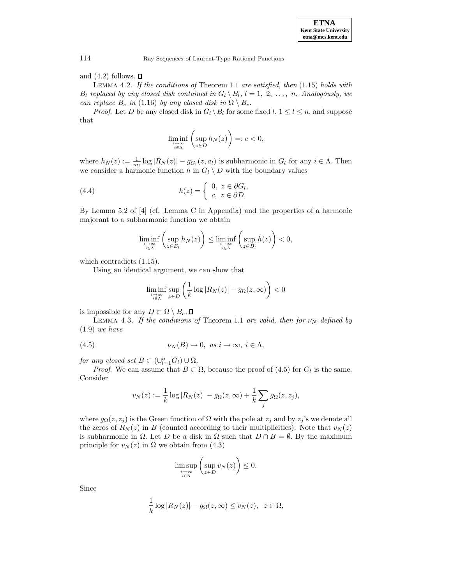and  $(4.2)$  follows.  $\Box$ 

LEMMA 4.2. If the conditions of Theorem 1.1 are satisfied, then  $(1.15)$  holds with  $B_l$  replaced by any closed disk contained in  $G_l \setminus B_l$ ,  $l = 1, 2, ..., n$ . Analogously, we can replace  $B_e$  in (1.16) by any closed disk in  $\Omega \setminus B_e$ .

*Proof.* Let D be any closed disk in  $G_l \setminus B_l$  for some fixed  $l, 1 \leq l \leq n$ , and suppose that

$$
\liminf_{\substack{i \to \infty \\ i \in \Lambda}} \left( \sup_{z \in D} h_N(z) \right) =: c < 0,
$$

where  $h_N(z) := \frac{1}{m_l} \log |R_N(z)| - g_{G_l}(z, a_l)$  is subharmonic in  $G_l$  for any  $i \in \Lambda$ . Then we consider a harmonic function h in  $G_l \setminus D$  with the boundary values

(4.4) 
$$
h(z) = \begin{cases} 0, & z \in \partial G_l, \\ c, & z \in \partial D. \end{cases}
$$

By Lemma 5.2 of [4] (cf. Lemma C in Appendix) and the properties of a harmonic majorant to a subharmonic function we obtain

$$
\liminf_{\substack{i \to \infty \\ i \in \Lambda}} \left( \sup_{z \in B_l} h_N(z) \right) \le \liminf_{\substack{i \to \infty \\ i \in \Lambda}} \left( \sup_{z \in B_l} h(z) \right) < 0,
$$

which contradicts (1.15).

Using an identical argument, we can show that

$$
\liminf_{\substack{i \to \infty \\ i \in \Lambda}} \sup_{z \in D} \left( \frac{1}{k} \log |R_N(z)| - g_\Omega(z, \infty) \right) < 0
$$

is impossible for any  $D \subset \Omega \setminus B_e$ .  $\square$ 

LEMMA 4.3. If the conditions of Theorem 1.1 are valid, then for  $\nu_N$  defined by (1.9) we have

(4.5) 
$$
\nu_N(B) \to 0, \text{ as } i \to \infty, \ i \in \Lambda,
$$

for any closed set  $B \subset (\cup_{l=1}^n G_l) \cup \Omega$ .

*Proof.* We can assume that  $B \subset \Omega$ , because the proof of (4.5) for  $G_l$  is the same. Consider

$$
v_N(z) := \frac{1}{k} \log |R_N(z)| - g_\Omega(z, \infty) + \frac{1}{k} \sum_j g_\Omega(z, z_j),
$$

where  $g_{\Omega}(z, z_i)$  is the Green function of  $\Omega$  with the pole at  $z_i$  and by  $z_i$ 's we denote all the zeros of  $R_N(z)$  in B (counted according to their multiplicities). Note that  $v_N(z)$ is subharmonic in  $\Omega$ . Let D be a disk in  $\Omega$  such that  $D \cap B = \emptyset$ . By the maximum principle for  $v_N(z)$  in  $\Omega$  we obtain from (4.3)

$$
\limsup_{\substack{i \to \infty \\ i \in \Lambda}} \left( \sup_{z \in D} v_N(z) \right) \le 0.
$$

Since

$$
\frac{1}{k}\log|R_N(z)| - g_\Omega(z,\infty) \le v_N(z), \ z \in \Omega,
$$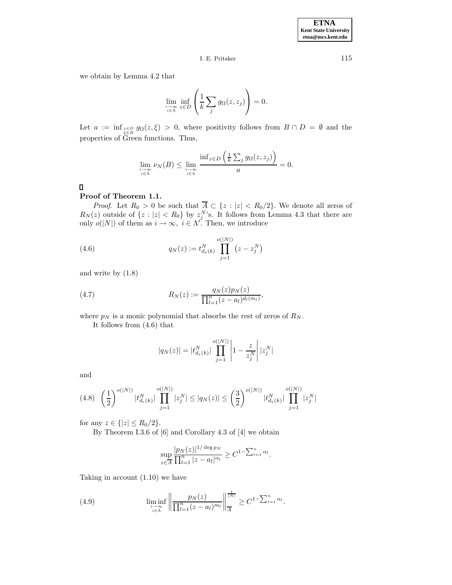## I. E. Pritsker 115

we obtain by Lemma 4.2 that

$$
\lim_{\substack{i \to \infty \\ i \in \Lambda}} \inf_{z \in D} \left( \frac{1}{k} \sum_j g_{\Omega}(z, z_j) \right) = 0.
$$

Let  $a := \inf_{z \in B} g_{\Omega}(z, \xi) > 0$ , where positivity follows from  $B \cap D = \emptyset$  and the properties of Green functions. Thus,

$$
\lim_{\substack{i \to \infty \\ i \in \Lambda}} \nu_N(B) \le \lim_{\substack{i \to \infty \\ i \in \Lambda}} \frac{\inf_{z \in D} \left( \frac{1}{k} \sum_j g_\Omega(z, z_j) \right)}{a} = 0.
$$

 $\Box$ 

## **Proof of Theorem 1.1.**

*Proof.* Let  $R_0 > 0$  be such that  $A \subset \{z : |z| < R_0/2\}$ . We denote all zeros of  $R_N(z)$  outside of  $\{z : |z| < R_0\}$  by  $z_j^N$ 's. It follows from Lemma 4.3 that there are only  $o(|N|)$  of them as  $i \to \infty$ ,  $i \in \Lambda'$ . Then, we introduce

(4.6) 
$$
q_N(z) := t_{d_e(k)}^N \prod_{j=1}^{o(|N|)} (z - z_j^N)
$$

and write by (1.8)

(4.7) 
$$
R_N(z) := \frac{q_N(z)p_N(z)}{\prod_{l=1}^n (z-a_l)^{d_l(m_l)}},
$$

where  $p_N$  is a monic polynomial that absorbs the rest of zeros of  $R_N$ .

It follows from (4.6) that

$$
|q_N(z)| = |t_{d_e(k)}^N| \prod_{j=1}^{o(|N|)} \left| 1 - \frac{z}{z_j^N} \right| |z_j^N|
$$

and

$$
(4.8)\quad \left(\frac{1}{2}\right)^{o(|N|)}|t_{d_e(k)}^N|\prod_{j=1}^{o(|N|)}|z_j^N| \le |q_N(z)| \le \left(\frac{3}{2}\right)^{o(|N|)}|t_{d_e(k)}^N|\prod_{j=1}^{o(|N|)}|z_j^N|
$$

for any  $z \in \{|z| \le R_0/2\}$ .

By Theorem I.3.6 of [6] and Corollary 4.3 of [4] we obtain

$$
\sup_{z \in \overline{A}} \frac{|p_N(z)|^{1/\deg p_N}}{\prod_{l=1}^n |z - a_l|^{\alpha_l}} \ge C^{1 - \sum_{l=1}^n \alpha_l}.
$$

Taking in account (1.10) we have

(4.9) 
$$
\liminf_{\substack{i \to \infty \\ i \in \Lambda}} \left\| \frac{p_N(z)}{\prod_{l=1}^n (z - a_l)^{m_l}} \right\|_{\overline{A}}^{\overline{N}} \geq C^{1 - \sum_{l=1}^n \alpha_l}.
$$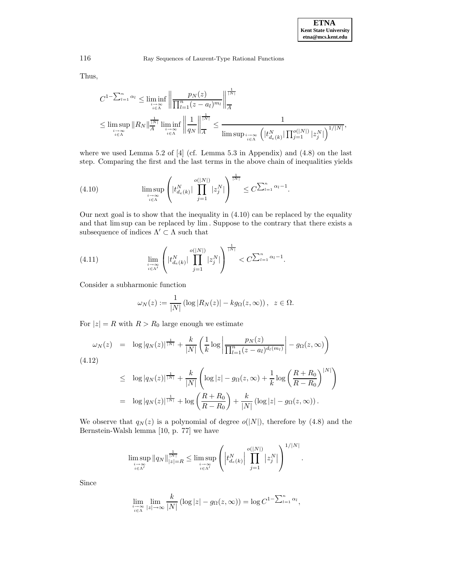Thus,

$$
C^{1-\sum_{l=1}^{n}\alpha_l} \leq \liminf_{\substack{i\to\infty\\i\in\Lambda}} \left\| \frac{p_N(z)}{\prod_{l=1}^n (z-a_l)^{m_l}} \right\|_A^{\frac{1}{|N|}}
$$
  

$$
\leq \limsup_{\substack{i\to\infty\\i\in\Lambda}} \|R_N\|_A^{\frac{1}{|N|}} \liminf_{\substack{i\to\infty\\i\in\Lambda}} \left\| \frac{1}{q_N} \right\|_A^{\frac{1}{|N|}} \leq \frac{1}{\limsup_{\substack{i\to\infty\\i\in\Lambda}} \left( |t_{d_e(k)}^N| \prod_{j=1}^{o(|N|)} |z_j^N| \right)^{1/|N|}},
$$

where we used Lemma 5.2 of [4] (cf. Lemma 5.3 in Appendix) and (4.8) on the last step. Comparing the first and the last terms in the above chain of inequalities yields

(4.10) 
$$
\limsup_{\substack{i \to \infty \\ i \in \Lambda}} \left( |t_{d_e(k)}^N| \prod_{j=1}^{o(|N|)} |z_j^N| \right)^{\frac{1}{|N|}} \leq C^{\sum_{l=1}^n \alpha_l - 1}.
$$

Our next goal is to show that the inequality in (4.10) can be replaced by the equality and that limsup can be replaced by lim . Suppose to the contrary that there exists a subsequence of indices  $\Lambda'\subset \Lambda$  such that

(4.11) 
$$
\lim_{\substack{i \to \infty \\ i \in \Lambda'}} \left( |t_{d_e(k)}^N| \prod_{j=1}^{o(|N|)} |z_j^N| \right)^{\frac{1}{|N|}} < C^{\sum_{l=1}^n \alpha_l - 1}.
$$

Consider a subharmonic function

$$
\omega_N(z) := \frac{1}{|N|} \left( \log |R_N(z)| - k g_\Omega(z, \infty) \right), \ \ z \in \Omega.
$$

For  $|z| = R$  with  $R > R_0$  large enough we estimate

$$
\omega_N(z) = \log |q_N(z)|^{\frac{1}{|N|}} + \frac{k}{|N|} \left( \frac{1}{k} \log \left| \frac{p_N(z)}{\prod_{l=1}^n (z - a_l)^{d_l(m_l)}} \right| - g_\Omega(z, \infty) \right)
$$
\n(4.12)

$$
\leq \log |q_N(z)|^{\frac{1}{|N|}} + \frac{k}{|N|} \left( \log |z| - g_\Omega(z, \infty) + \frac{1}{k} \log \left( \frac{R + R_0}{R - R_0} \right)^{|N|} \right)
$$
  
=  $\log |q_N(z)|^{\frac{1}{|N|}} + \log \left( \frac{R + R_0}{R - R_0} \right) + \frac{k}{|N|} (\log |z| - g_\Omega(z, \infty)).$ 

We observe that  $q_N(z)$  is a polynomial of degree  $o(|N|)$ , therefore by (4.8) and the Bernstein-Walsh lemma [10, p. 77] we have

$$
\limsup_{\substack{i \to \infty \\ i \in \Lambda'}} \|q_N\|_{|z|=R}^{\frac{1}{|N|}} \leq \limsup_{\substack{i \to \infty \\ i \in \Lambda'}} \left( \left| t_{d_e(k)}^N \right| \prod_{j=1}^{o(|N|)} |z_j^N| \right)^{1/|N|}.
$$

Since

$$
\lim_{\substack{i \to \infty \\ i \in \Lambda}} \lim_{|z| \to \infty} \frac{k}{|N|} \left( \log |z| - g_{\Omega}(z, \infty) \right) = \log C^{1 - \sum_{l=1}^{n} \alpha_l},
$$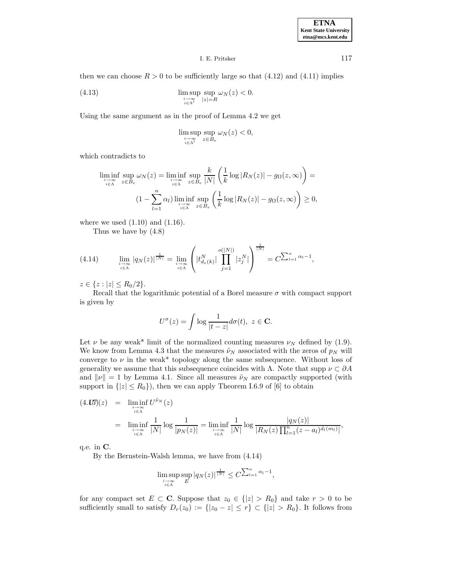### I. E. Pritsker 117

then we can choose  $R > 0$  to be sufficiently large so that (4.12) and (4.11) implies

(4.13) 
$$
\limsup_{\substack{i \to \infty \\ i \in \Lambda'}} \sup_{|z| = R} \omega_N(z) < 0.
$$

Using the same argument as in the proof of Lemma 4.2 we get

$$
\limsup_{\substack{i \to \infty \\ i \in \Lambda'}} \sup_{z \in B_e} \omega_N(z) < 0,
$$

which contradicts to

$$
\liminf_{i \to \infty} \sup_{z \in B_e} \omega_N(z) = \liminf_{i \to \infty} \sup_{z \in B_e} \frac{k}{|N|} \left( \frac{1}{k} \log |R_N(z)| - g_\Omega(z, \infty) \right) =
$$
  

$$
(1 - \sum_{l=1}^n \alpha_l) \liminf_{i \to \infty} \sup_{z \in B_e} \left( \frac{1}{k} \log |R_N(z)| - g_\Omega(z, \infty) \right) \ge 0,
$$

where we used  $(1.10)$  and  $(1.16)$ .

Thus we have by (4.8)

$$
(4.14) \qquad \lim_{\substack{i \to \infty \\ i \in \Lambda}} |q_N(z)|^{\frac{1}{|N|}} = \lim_{\substack{i \to \infty \\ i \in \Lambda}} \left( |t_{d_e(k)}^N| \prod_{j=1}^{o(|N|)} |z_j^N| \right)^{\frac{1}{|N|}} = C^{\sum_{l=1}^n \alpha_l - 1},
$$

 $z \in \{z : |z| \le R_0/2\}.$ 

Recall that the logarithmic potential of a Borel measure  $\sigma$  with compact support is given by

$$
U^{\sigma}(z) = \int \log \frac{1}{|t - z|} d\sigma(t), \ z \in \mathbf{C}.
$$

Let  $\nu$  be any weak\* limit of the normalized counting measures  $\nu_N$  defined by (1.9). We know from Lemma 4.3 that the measures  $\tilde{\nu}_N$  associated with the zeros of  $p_N$  will converge to  $\nu$  in the weak\* topology along the same subsequence. Without loss of generality we assume that this subsequence coincides with Λ. Note that supp  $\nu \subset \partial A$ and  $\|\nu\| = 1$  by Lemma 4.1. Since all measures  $\tilde{\nu}_N$  are compactly supported (with support in  $\{|z| \le R_0\}$ , then we can apply Theorem I.6.9 of [6] to obtain

$$
(4.15')(z) = \liminf_{\substack{i \to \infty \\ i \in \Lambda}} U^{\tilde{\nu}_N}(z)
$$
  
= 
$$
\liminf_{\substack{i \to \infty \\ i \in \Lambda}} \frac{1}{|N|} \log \frac{1}{|p_N(z)|} = \liminf_{\substack{i \to \infty \\ i \in \Lambda}} \frac{1}{|N|} \log \frac{|q_N(z)|}{|R_N(z) \prod_{l=1}^n (z - a_l)^{d_l(m_l)}},
$$

q.e. in **C**.

By the Bernstein-Walsh lemma, we have from (4.14)

$$
\limsup_{\substack{i \to \infty \\ i \in \Lambda}} \sup_E |q_N(z)|^{\frac{1}{|N|}} \le C^{\sum_{l=1}^n \alpha_l - 1},
$$

for any compact set  $E \subset \mathbf{C}$ . Suppose that  $z_0 \in \{ |z| > R_0 \}$  and take  $r > 0$  to be sufficiently small to satisfy  $D_r(z_0) := \{|z_0 - z| \leq r\} \subset \{|z| > R_0\}$ . It follows from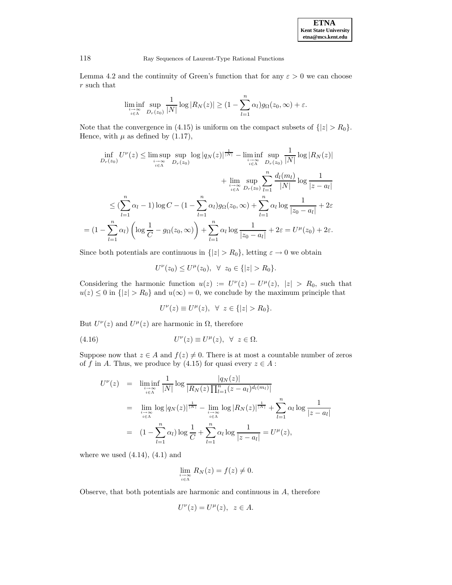Lemma 4.2 and the continuity of Green's function that for any  $\varepsilon > 0$  we can choose r such that

$$
\liminf_{\substack{i \to \infty \\ i \in \Lambda}} \sup_{D_r(z_0)} \frac{1}{|N|} \log |R_N(z)| \geq (1 - \sum_{l=1}^n \alpha_l) g_\Omega(z_0, \infty) + \varepsilon.
$$

Note that the convergence in (4.15) is uniform on the compact subsets of  $\{|z| > R_0\}$ . Hence, with  $\mu$  as defined by (1.17),

$$
\inf_{D_r(z_0)} U^{\nu}(z) \leq \limsup_{\substack{i \to \infty \\ i \in \Lambda}} \sup_{D_r(z_0)} \log |q_N(z)|^{\frac{1}{|N|}} - \liminf_{\substack{i \to \infty \\ i \in \Lambda}} \sup_{D_r(z_0)} \frac{1}{|N|} \log |R_N(z)|
$$

$$
+ \lim_{\substack{i \to \infty \\ i \in \Lambda}} \sup_{D_r(z_0)} \sum_{l=1}^n \frac{d_l(m_l)}{|N|} \log \frac{1}{|z-a_l|}
$$

$$
\leq (\sum_{l=1}^n \alpha_l - 1) \log C - (1 - \sum_{l=1}^n \alpha_l) g_\Omega(z_0, \infty) + \sum_{l=1}^n \alpha_l \log \frac{1}{|z_0 - a_l|} + 2\varepsilon
$$

$$
= (1 - \sum_{l=1}^n \alpha_l) \left( \log \frac{1}{C} - g_\Omega(z_0, \infty) \right) + \sum_{l=1}^n \alpha_l \log \frac{1}{|z_0 - a_l|} + 2\varepsilon = U^{\mu}(z_0) + 2\varepsilon.
$$

Since both potentials are continuous in  $\{|z| > R_0\}$ , letting  $\varepsilon \to 0$  we obtain

$$
U^{\nu}(z_0) \leq U^{\mu}(z_0), \ \ \forall \ \ z_0 \in \{|z| > R_0\}.
$$

Considering the harmonic function  $u(z) := U^{\nu}(z) - U^{\mu}(z), |z| > R_0$ , such that  $u(z) \leq 0$  in  $\{|z| > R_0\}$  and  $u(\infty) = 0$ , we conclude by the maximum principle that

$$
U^{\nu}(z) \equiv U^{\mu}(z), \ \forall \ z \in \{|z| > R_0\}.
$$

But  $U^{\nu}(z)$  and  $U^{\mu}(z)$  are harmonic in  $\Omega$ , therefore

(4.16) 
$$
U^{\nu}(z) \equiv U^{\mu}(z), \ \forall \ z \in \Omega.
$$

Suppose now that  $z \in A$  and  $f(z) \neq 0$ . There is at most a countable number of zeros of f in A. Thus, we produce by (4.15) for quasi every  $z \in A$ :

$$
U^{\nu}(z) = \liminf_{\substack{i \to \infty \\ i \in \Lambda}} \frac{1}{|N|} \log \frac{|q_N(z)|}{|R_N(z) \prod_{l=1}^n (z - a_l)^{d_l(m_l)}|}
$$
  
= 
$$
\lim_{\substack{i \to \infty \\ i \in \Lambda}} \log |q_N(z)|^{\frac{1}{|N|}} - \lim_{\substack{i \to \infty \\ i \in \Lambda}} \log |R_N(z)|^{\frac{1}{|N|}} + \sum_{l=1}^n \alpha_l \log \frac{1}{|z - a_l|}
$$
  
= 
$$
(1 - \sum_{l=1}^n \alpha_l) \log \frac{1}{C} + \sum_{l=1}^n \alpha_l \log \frac{1}{|z - a_l|} = U^{\mu}(z),
$$

where we used  $(4.14)$ ,  $(4.1)$  and

$$
\lim_{\substack{i \to \infty \\ i \in \Lambda}} R_N(z) = f(z) \neq 0.
$$

Observe, that both potentials are harmonic and continuous in A, therefore

$$
U^{\nu}(z) = U^{\mu}(z), \ z \in A.
$$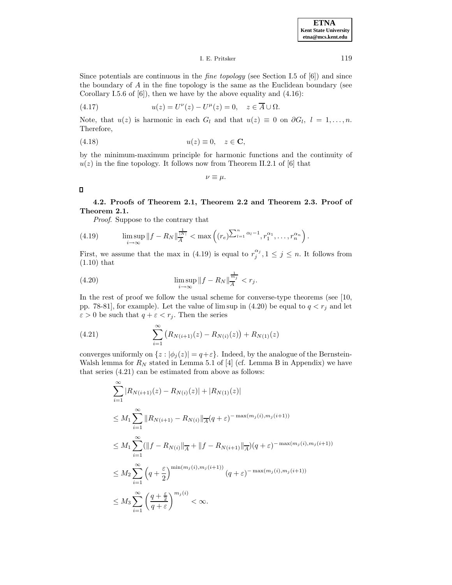I. E. Pritsker 119

Since potentials are continuous in the *fine topology* (see Section I.5 of  $[6]$ ) and since the boundary of  $A$  in the fine topology is the same as the Euclidean boundary (see Corollary I.5.6 of  $[6]$ , then we have by the above equality and  $(4.16)$ :

(4.17) 
$$
u(z) = U^{\nu}(z) - U^{\mu}(z) = 0, \quad z \in \overline{A} \cup \Omega.
$$

Note, that  $u(z)$  is harmonic in each  $G_l$  and that  $u(z) \equiv 0$  on  $\partial G_l$ ,  $l = 1, \ldots, n$ . Therefore,

$$
(4.18) \t\t u(z) \equiv 0, \quad z \in \mathbf{C},
$$

by the minimum-maximum principle for harmonic functions and the continuity of  $u(z)$  in the fine topology. It follows now from Theorem II.2.1 of [6] that

 $\nu \equiv \mu$ .

 $\Box$ 

**4.2. Proofs of Theorem 2.1, Theorem 2.2 and Theorem 2.3. Proof of Theorem 2.1.**

Proof. Suppose to the contrary that

(4.19) 
$$
\limsup_{i \to \infty} ||f - R_N||_A^{\frac{1}{|N|}} < \max \left( (r_e)^{\sum_{l=1}^n \alpha_l - 1}, r_1^{\alpha_1}, \dots, r_n^{\alpha_n} \right).
$$

First, we assume that the max in (4.19) is equal to  $r_j^{\alpha_j}$ ,  $1 \leq j \leq n$ . It follows from (1.10) that

(4.20) 
$$
\limsup_{i \to \infty} ||f - R_N||_{\overline{A}}^{\frac{1}{m_j}} < r_j.
$$

In the rest of proof we follow the usual scheme for converse-type theorems (see [10, pp. 78-81], for example). Let the value of limsup in (4.20) be equal to  $q < r_j$  and let  $\varepsilon > 0$  be such that  $q + \varepsilon < r_j$ . Then the series

(4.21) 
$$
\sum_{i=1}^{\infty} \left( R_{N(i+1)}(z) - R_{N(i)}(z) \right) + R_{N(1)}(z)
$$

converges uniformly on  $\{z : |\phi_j(z)| = q + \varepsilon\}$ . Indeed, by the analogue of the Bernstein-Walsh lemma for  $R_N$  stated in Lemma 5.1 of [4] (cf. Lemma B in Appendix) we have that series (4.21) can be estimated from above as follows:

$$
\sum_{i=1}^{\infty} |R_{N(i+1)}(z) - R_{N(i)}(z)| + |R_{N(1)}(z)|
$$
  
\n
$$
\leq M_1 \sum_{i=1}^{\infty} \|R_{N(i+1)} - R_{N(i)}\|_{\overline{A}} (q + \varepsilon)^{-\max(m_j(i), m_j(i+1))}
$$
  
\n
$$
\leq M_1 \sum_{i=1}^{\infty} (||f - R_{N(i)}||_{\overline{A}} + ||f - R_{N(i+1)}||_{\overline{A}}) (q + \varepsilon)^{-\max(m_j(i), m_j(i+1))}
$$
  
\n
$$
\leq M_2 \sum_{i=1}^{\infty} \left( q + \frac{\varepsilon}{2} \right)^{\min(m_j(i), m_j(i+1))} (q + \varepsilon)^{-\max(m_j(i), m_j(i+1))}
$$
  
\n
$$
\leq M_3 \sum_{i=1}^{\infty} \left( \frac{q + \frac{\varepsilon}{2}}{q + \varepsilon} \right)^{m_j(i)} < \infty.
$$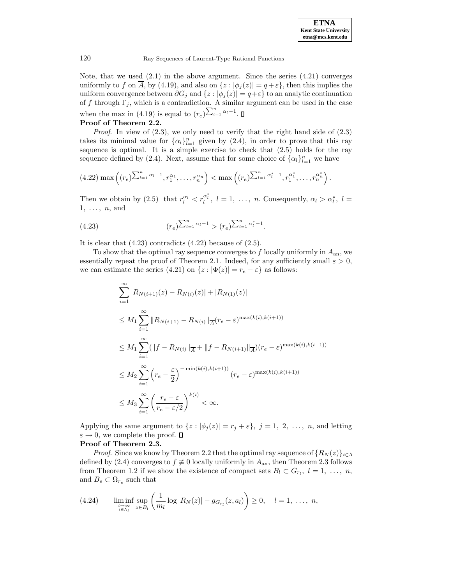Note, that we used  $(2.1)$  in the above argument. Since the series  $(4.21)$  converges uniformly to f on  $\overline{A}$ , by (4.19), and also on  $\{z : |\phi_i(z)| = q + \varepsilon\}$ , then this implies the uniform convergence between  $\partial G_j$  and  $\{z : |\phi_j(z)| = q + \varepsilon\}$  to an analytic continuation of f through  $\Gamma_j$ , which is a contradiction. A similar argument can be used in the case when the max in (4.19) is equal to  $(r_e)^{\sum_{l=1}^{n} \alpha_l - 1}$ .

# **Proof of Theorem 2.2.**

*Proof.* In view of  $(2.3)$ , we only need to verify that the right hand side of  $(2.3)$ takes its minimal value for  $\{\alpha_l\}_{l=1}^n$  given by (2.4), in order to prove that this ray sequence is optimal. It is a simple exercise to check that (2.5) holds for the ray sequence defined by (2.4). Next, assume that for some choice of  $\{\alpha_l\}_{l=1}^n$  we have

$$
(4.22) \max\left((r_e)^{\sum_{l=1}^n \alpha_l - 1}, r_1^{\alpha_1}, \dots, r_n^{\alpha_n}\right) < \max\left((r_e)^{\sum_{l=1}^n \alpha_l^* - 1}, r_1^{\alpha_1^*}, \dots, r_n^{\alpha_n^*}\right).
$$

Then we obtain by (2.5) that  $r_l^{\alpha_l} < r_l^{\alpha_l^*}$ ,  $l = 1, \ldots, n$ . Consequently,  $\alpha_l > \alpha_l^*$ ,  $l =$  $1, \ldots, n$ , and

(4.23) 
$$
(r_e)^{\sum_{l=1}^n \alpha_l - 1} > (r_e)^{\sum_{l=1}^n \alpha_l^* - 1}.
$$

It is clear that  $(4.23)$  contradicts  $(4.22)$  because of  $(2.5)$ .

To show that the optimal ray sequence converges to  $f$  locally uniformly in  $A_{an}$ , we essentially repeat the proof of Theorem 2.1. Indeed, for any sufficiently small  $\varepsilon > 0$ , we can estimate the series (4.21) on  $\{z : |\Phi(z)| = r_e - \varepsilon\}$  as follows:

$$
\sum_{i=1}^{\infty} |R_{N(i+1)}(z) - R_{N(i)}(z)| + |R_{N(1)}(z)|
$$
  
\n
$$
\leq M_1 \sum_{i=1}^{\infty} ||R_{N(i+1)} - R_{N(i)}||_{\overline{A}}(r_e - \varepsilon)^{\max(k(i),k(i+1))}
$$
  
\n
$$
\leq M_1 \sum_{i=1}^{\infty} (||f - R_{N(i)}||_{\overline{A}} + ||f - R_{N(i+1)}||_{\overline{A}})(r_e - \varepsilon)^{\max(k(i),k(i+1))}
$$
  
\n
$$
\leq M_2 \sum_{i=1}^{\infty} (r_e - \frac{\varepsilon}{2})^{-\min(k(i),k(i+1))} (r_e - \varepsilon)^{\max(k(i),k(i+1))}
$$
  
\n
$$
\leq M_3 \sum_{i=1}^{\infty} (\frac{r_e - \varepsilon}{r_e - \varepsilon/2})^{k(i)} < \infty.
$$

Applying the same argument to  $\{z : |\phi_j(z)| = r_j + \varepsilon\}, \ j = 1, 2, \ldots, n$ , and letting  $\varepsilon \to 0$ , we complete the proof.  $\square$ 

#### **Proof of Theorem 2.3.**

*Proof.* Since we know by Theorem 2.2 that the optimal ray sequence of  ${R_N(z)}_{i\in\Lambda}$ defined by (2.4) converges to  $f \neq 0$  locally uniformly in  $A_{an}$ , then Theorem 2.3 follows from Theorem 1.2 if we show the existence of compact sets  $B_l \subset G_{r_l}$ ,  $l = 1, \ldots, n$ , and  $B_e \subset \Omega_{r_e}$  such that

$$
(4.24) \qquad \liminf_{\substack{i \to \infty \\ i \in \Lambda_l}} \sup_{z \in B_l} \left( \frac{1}{m_l} \log |R_N(z)| - g_{G_{r_l}}(z, a_l) \right) \ge 0, \quad l = 1, \ \ldots, \ n,
$$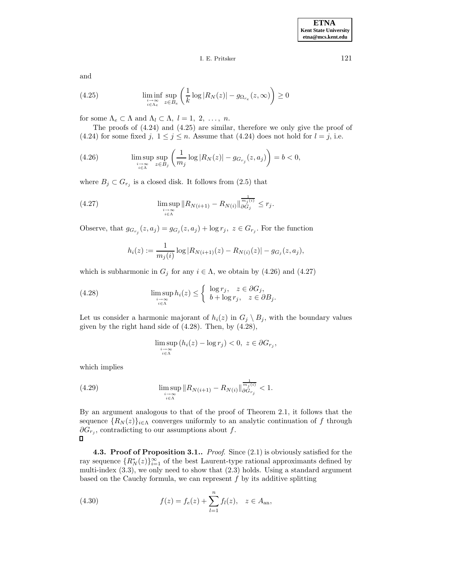## I. E. Pritsker 121

and

(4.25) 
$$
\liminf_{\substack{i \to \infty \\ i \in \Lambda_e}} \sup_{z \in B_e} \left( \frac{1}{k} \log |R_N(z)| - g_{\Omega_{re}}(z, \infty) \right) \ge 0
$$

for some  $\Lambda_e \subset \Lambda$  and  $\Lambda_l \subset \Lambda$ ,  $l = 1, 2, \ldots, n$ .

The proofs of (4.24) and (4.25) are similar, therefore we only give the proof of (4.24) for some fixed j,  $1 \leq j \leq n$ . Assume that (4.24) does not hold for  $l = j$ , i.e.

(4.26) 
$$
\limsup_{\substack{i \to \infty \\ i \in \Lambda}} \sup_{z \in B_j} \left( \frac{1}{m_j} \log |R_N(z)| - g_{G_{r_j}}(z, a_j) \right) = b < 0,
$$

where  $B_j \subset G_{r_j}$  is a closed disk. It follows from (2.5) that

(4.27) 
$$
\limsup_{\substack{i \to \infty \\ i \in \Lambda}} \|R_{N(i+1)} - R_{N(i)}\|_{\partial G_j}^{\frac{1}{m_j(i)}} \leq r_j.
$$

Observe, that  $g_{G_{r_j}}(z,a_j) = g_{G_j}(z,a_j) + \log r_j$ ,  $z \in G_{r_j}$ . For the function

$$
h_i(z) := \frac{1}{m_j(i)} \log |R_{N(i+1)}(z) - R_{N(i)}(z)| - g_{G_j}(z, a_j),
$$

which is subharmonic in  $G_j$  for any  $i \in \Lambda$ , we obtain by (4.26) and (4.27)

(4.28) 
$$
\limsup_{\substack{i \to \infty \\ i \in \Lambda}} h_i(z) \leq \begin{cases} \log r_j, & z \in \partial G_j, \\ b + \log r_j, & z \in \partial B_j. \end{cases}
$$

Let us consider a harmonic majorant of  $h_i(z)$  in  $G_j \setminus B_j$ , with the boundary values given by the right hand side of  $(4.28)$ . Then, by  $(4.28)$ ,

$$
\limsup_{\substack{i \to \infty \\ i \in \Lambda}} (h_i(z) - \log r_j) < 0, \ z \in \partial G_{r_j},
$$

which implies

(4.29) 
$$
\limsup_{\substack{i \to \infty \\ i \in \Lambda}} \|R_{N(i+1)} - R_{N(i)}\|_{\partial G_{r_j}}^{\frac{1}{m_j(i)}} < 1.
$$

By an argument analogous to that of the proof of Theorem 2.1, it follows that the sequence  ${R_N(z)}_{i\in\Lambda}$  converges uniformly to an analytic continuation of f through  $\partial G_{r_i}$ , contradicting to our assumptions about f. Л

**4.3. Proof of Proposition 3.1..** Proof. Since (2.1) is obviously satisfied for the ray sequence  $\{R_N^*(z)\}_{i=1}^{\infty}$  of the best Laurent-type rational approximants defined by multi-index (3.3), we only need to show that (2.3) holds. Using a standard argument based on the Cauchy formula, we can represent  $f$  by its additive splitting

(4.30) 
$$
f(z) = f_e(z) + \sum_{l=1}^n f_l(z), \quad z \in A_{\text{an}},
$$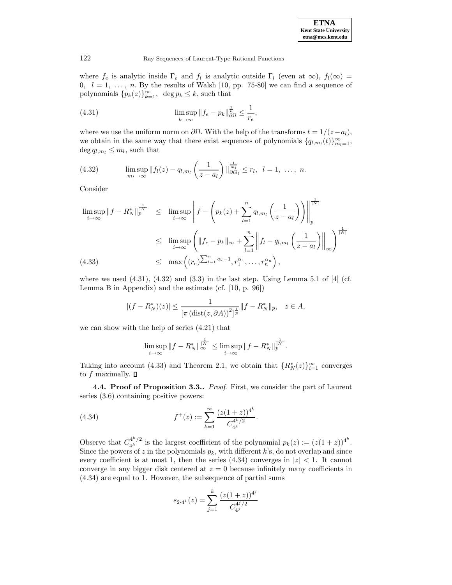

where  $f_e$  is analytic inside  $\Gamma_e$  and  $f_l$  is analytic outside  $\Gamma_l$  (even at  $\infty$ ),  $f_l(\infty)$  = 0,  $l = 1, \ldots, n$ . By the results of Walsh [10, pp. 75-80] we can find a sequence of polynomials  $\{p_k(z)\}_{k=1}^{\infty}$ , deg  $p_k \leq k$ , such that

(4.31) 
$$
\limsup_{k \to \infty} ||f_e - p_k||_{\partial \Omega}^{\frac{1}{k}} \leq \frac{1}{r_e},
$$

where we use the uniform norm on  $\partial\Omega$ . With the help of the transforms  $t = 1/(z-a_l)$ , we obtain in the same way that there exist sequences of polynomials  $\{q_{l,m_l}(t)\}_{m_l=1}^{\infty}$ ,  $\deg q_{l,m_l} \leq m_l$ , such that

(4.32) 
$$
\limsup_{m_l \to \infty} ||f_l(z) - q_{l,m_l} \left( \frac{1}{z - a_l} \right) ||_{\partial G_l}^{\frac{1}{m_l}} \leq r_l, \ \ l = 1, \ \ldots, \ n.
$$

Consider

$$
\limsup_{i \to \infty} \|f - R_N^*\|_p^{\frac{1}{|N|}} \leq \limsup_{i \to \infty} \left\| f - \left( p_k(z) + \sum_{l=1}^n q_{l,m_l} \left( \frac{1}{z - a_l} \right) \right) \right\|_p^{\frac{1}{|N|}}
$$
\n
$$
\leq \limsup_{i \to \infty} \left( \|f_e - p_k\|_{\infty} + \sum_{l=1}^n \left\| f_l - q_{l,m_l} \left( \frac{1}{z - a_l} \right) \right\|_{\infty} \right)^{\frac{1}{|N|}}
$$
\n(4.33)\n
$$
\leq \max \left( (r_e)^{\sum_{l=1}^n \alpha_l - 1}, r_1^{\alpha_1}, \dots, r_n^{\alpha_n} \right),
$$

where we used  $(4.31)$ ,  $(4.32)$  and  $(3.3)$  in the last step. Using Lemma 5.1 of [4] (cf. Lemma B in Appendix) and the estimate (cf. [10, p. 96])

$$
|(f - R_N^*)(z)| \le \frac{1}{[\pi (\text{dist}(z, \partial A))^2]^{\frac{1}{p}}} ||f - R_N^*||_p, \quad z \in A,
$$

we can show with the help of series (4.21) that

$$
\limsup_{i \to \infty} \|f - R_N^*\|_{\infty}^{\frac{1}{|N|}} \le \limsup_{i \to \infty} \|f - R_N^*\|_p^{\frac{1}{|N|}}.
$$

Taking into account (4.33) and Theorem 2.1, we obtain that  $\{R_N^*(z)\}_{i=1}^\infty$  converges to  $f$  maximally.  $\Box$ 

**4.4. Proof of Proposition 3.3..** Proof. First, we consider the part of Laurent series (3.6) containing positive powers:

(4.34) 
$$
f^+(z) := \sum_{k=1}^{\infty} \frac{(z(1+z))^{4^k}}{C_{4^k}^{4^k/2}}.
$$

Observe that  $C_{4^k}^{4^k/2}$  is the largest coefficient of the polynomial  $p_k(z) := (z(1+z))^{4^k}$ . Since the powers of z in the polynomials  $p_k$ , with different k's, do not overlap and since every coefficient is at most 1, then the series  $(4.34)$  converges in  $|z| < 1$ . It cannot converge in any bigger disk centered at  $z = 0$  because infinitely many coefficients in (4.34) are equal to 1. However, the subsequence of partial sums

$$
s_{2\cdot 4^k}(z)=\sum_{j=1}^k\frac{(z(1+z))^{4^j}}{C_{4^j}^{4^j/2}}
$$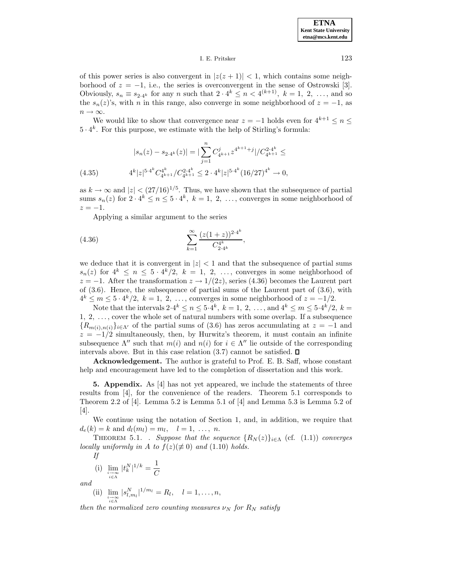I. E. Pritsker 123

of this power series is also convergent in  $|z(z + 1)| < 1$ , which contains some neighborhood of  $z = -1$ , i.e., the series is overconvergent in the sense of Ostrowski [3]. Obviously,  $s_n \equiv s_{2.4k}$  for any n such that  $2 \cdot 4^k \leq n < 4^{(k+1)}$ ,  $k = 1, 2, \ldots$ , and so the  $s_n(z)$ 's, with n in this range, also converge in some neighborhood of  $z = -1$ , as  $n \to \infty$ .

We would like to show that convergence near  $z = -1$  holds even for  $4^{k+1} \leq n \leq$  $5 \cdot 4^k$ . For this purpose, we estimate with the help of Stirling's formula:

$$
|s_n(z) - s_{2\cdot 4^k}(z)| = |\sum_{j=1}^n C_{4^{k+1}}^j z^{4^{k+1}+j}|/C_{4^{k+1}}^{2\cdot 4^k} \le
$$
  
(4.35) 
$$
4^k |z|^{5\cdot 4^k} C_{4^{k+1}}^{4^k}/C_{4^{k+1}}^{2\cdot 4^k} \le 2 \cdot 4^k |z|^{5\cdot 4^k} (16/27)^{4^k} \to 0,
$$

as  $k \to \infty$  and  $|z| < (27/16)^{1/5}$ . Thus, we have shown that the subsequence of partial sums  $s_n(z)$  for  $2 \cdot 4^k \leq n \leq 5 \cdot 4^k$ ,  $k = 1, 2, \ldots$ , converges in some neighborhood of  $z = -1$ .

Applying a similar argument to the series

(4.36) 
$$
\sum_{k=1}^{\infty} \frac{(z(1+z))^{2\cdot 4^k}}{C_{2\cdot 4^k}^{4^k}},
$$

we deduce that it is convergent in  $|z| < 1$  and that the subsequence of partial sums  $s_n(z)$  for  $4^k \leq n \leq 5 \cdot 4^k/2$ ,  $k = 1, 2, \ldots$ , converges in some neighborhood of  $z = -1$ . After the transformation  $z \to 1/(2z)$ , series (4.36) becomes the Laurent part of  $(3.6)$ . Hence, the subsequence of partial sums of the Laurent part of  $(3.6)$ , with  $4^k \leq m \leq 5 \cdot 4^k/2$ ,  $k = 1, 2, \ldots$ , converges in some neighborhood of  $z = -1/2$ .

Note that the intervals  $2.4^k \le n \le 5.4^k$ ,  $k = 1, 2, ...,$  and  $4^k \le m \le 5.4^k/2$ ,  $k =$ 1, 2, ..., cover the whole set of natural numbers with some overlap. If a subsequence  ${R_{m(i),n(i)}\}_{i\in\Lambda'}$  of the partial sums of (3.6) has zeros accumulating at  $z=-1$  and  $z = -1/2$  simultaneously, then, by Hurwitz's theorem, it must contain an infinite subsequence  $\Lambda''$  such that  $m(i)$  and  $n(i)$  for  $i \in \Lambda''$  lie outside of the corresponding intervals above. But in this case relation  $(3.7)$  cannot be satisfied.  $\square$ 

**Acknowledgement.** The author is grateful to Prof. E. B. Saff, whose constant help and encouragement have led to the completion of dissertation and this work.

**5. Appendix.** As [4] has not yet appeared, we include the statements of three results from [4], for the convenience of the readers. Theorem 5.1 corresponds to Theorem 2.2 of [4]. Lemma 5.2 is Lemma 5.1 of [4] and Lemma 5.3 is Lemma 5.2 of [4].

We continue using the notation of Section 1, and, in addition, we require that  $d_e(k) = k$  and  $d_l(m_l) = m_l, \quad l = 1, \ldots, n.$ 

THEOREM 5.1. . Suppose that the sequence  $\{R_N(z)\}_{i\in\Lambda}$  (cf. (1.1)) converges locally uniformly in A to  $f(z)(\not\equiv 0)$  and  $(1.10)$  holds.

$$
I\!f
$$

(i) 
$$
\lim_{\substack{i \to \infty \\ i \in \Lambda}} |t_k^N|^{1/k} = \frac{1}{C}
$$

and

(ii)  $\lim_{\substack{i \to \infty \\ i \in \Lambda}}$  $|s_{l,m_l}^N|^{1/m_l} = R_l, \quad l = 1,\ldots,n,$ 

then the normalized zero counting measures  $\nu_N$  for  $R_N$  satisfy